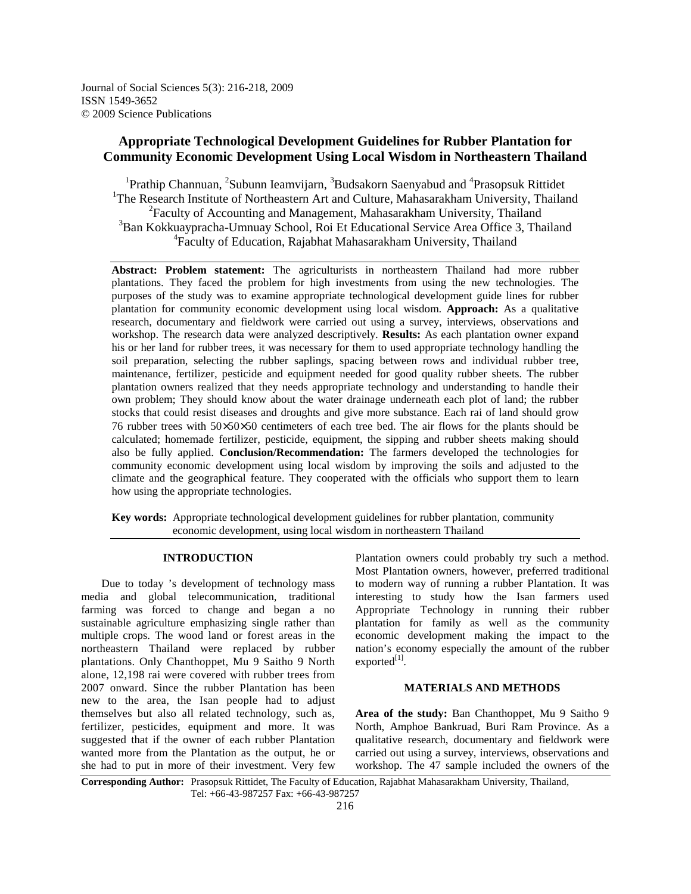# **Appropriate Technological Development Guidelines for Rubber Plantation for Community Economic Development Using Local Wisdom in Northeastern Thailand**

<sup>1</sup>Prathip Channuan, <sup>2</sup>Subunn Ieamvijarn, <sup>3</sup>Budsakorn Saenyabud and <sup>4</sup>Prasopsuk Rittidet <sup>1</sup>The Research Institute of Northeastern Art and Culture, Mahasarakham University, Thailand <sup>2</sup> Faculty of Accounting and Management, Mahasarakham University, Thailand <sup>3</sup>Ban Kokkuaypracha-Umnuay School, Roi Et Educational Service Area Office 3, Thailand 4 Faculty of Education, Rajabhat Mahasarakham University, Thailand

**Abstract: Problem statement:** The agriculturists in northeastern Thailand had more rubber plantations. They faced the problem for high investments from using the new technologies. The purposes of the study was to examine appropriate technological development guide lines for rubber plantation for community economic development using local wisdom. **Approach:** As a qualitative research, documentary and fieldwork were carried out using a survey, interviews, observations and workshop. The research data were analyzed descriptively. **Results:** As each plantation owner expand his or her land for rubber trees, it was necessary for them to used appropriate technology handling the soil preparation, selecting the rubber saplings, spacing between rows and individual rubber tree, maintenance, fertilizer, pesticide and equipment needed for good quality rubber sheets. The rubber plantation owners realized that they needs appropriate technology and understanding to handle their own problem; They should know about the water drainage underneath each plot of land; the rubber stocks that could resist diseases and droughts and give more substance. Each rai of land should grow 76 rubber trees with 50×50×50 centimeters of each tree bed. The air flows for the plants should be calculated; homemade fertilizer, pesticide, equipment, the sipping and rubber sheets making should also be fully applied. **Conclusion/Recommendation:** The farmers developed the technologies for community economic development using local wisdom by improving the soils and adjusted to the climate and the geographical feature. They cooperated with the officials who support them to learn how using the appropriate technologies.

**Key words:** Appropriate technological development guidelines for rubber plantation, community economic development, using local wisdom in northeastern Thailand

# **INTRODUCTION**

 Due to today 's development of technology mass media and global telecommunication, traditional farming was forced to change and began a no sustainable agriculture emphasizing single rather than multiple crops. The wood land or forest areas in the northeastern Thailand were replaced by rubber plantations. Only Chanthoppet, Mu 9 Saitho 9 North alone, 12,198 rai were covered with rubber trees from 2007 onward. Since the rubber Plantation has been new to the area, the Isan people had to adjust themselves but also all related technology, such as, fertilizer, pesticides, equipment and more. It was suggested that if the owner of each rubber Plantation wanted more from the Plantation as the output, he or she had to put in more of their investment. Very few

Plantation owners could probably try such a method. Most Plantation owners, however, preferred traditional to modern way of running a rubber Plantation. It was interesting to study how the Isan farmers used Appropriate Technology in running their rubber plantation for family as well as the community economic development making the impact to the nation's economy especially the amount of the rubber  $exported<sup>[1]</sup>$ .

### **MATERIALS AND METHODS**

**Area of the study:** Ban Chanthoppet, Mu 9 Saitho 9 North, Amphoe Bankruad, Buri Ram Province. As a qualitative research, documentary and fieldwork were carried out using a survey, interviews, observations and workshop. The 47 sample included the owners of the

**Corresponding Author:** Prasopsuk Rittidet, The Faculty of Education, Rajabhat Mahasarakham University, Thailand, Tel: +66-43-987257 Fax: +66-43-987257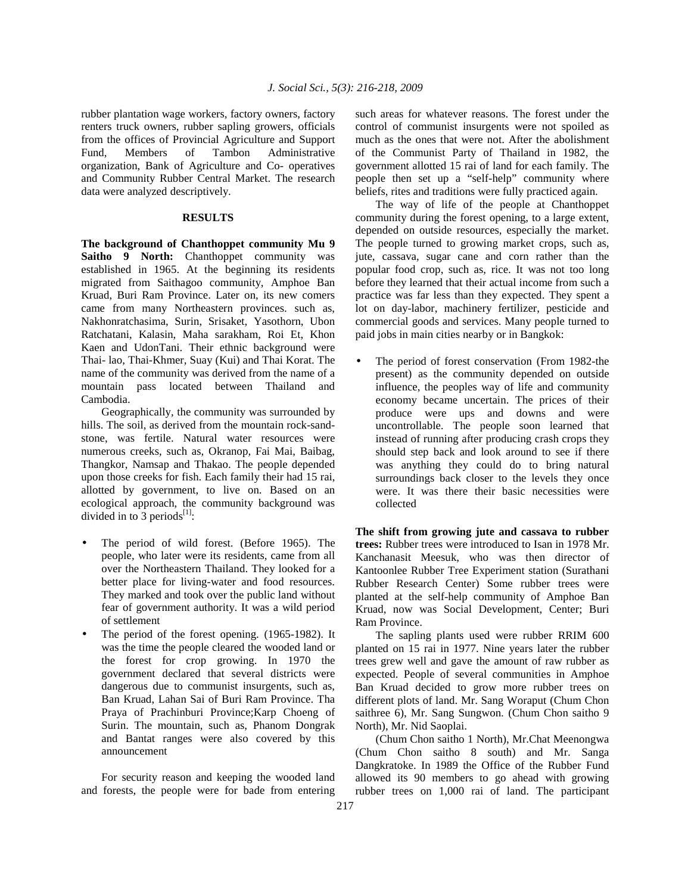rubber plantation wage workers, factory owners, factory renters truck owners, rubber sapling growers, officials from the offices of Provincial Agriculture and Support Fund, Members of Tambon Administrative organization, Bank of Agriculture and Co- operatives and Community Rubber Central Market. The research data were analyzed descriptively.

## **RESULTS**

**The background of Chanthoppet community Mu 9**  Saitho 9 North: Chanthoppet community was established in 1965. At the beginning its residents migrated from Saithagoo community, Amphoe Ban Kruad, Buri Ram Province. Later on, its new comers came from many Northeastern provinces. such as, Nakhonratchasima, Surin, Srisaket, Yasothorn, Ubon Ratchatani, Kalasin, Maha sarakham, Roi Et, Khon Kaen and UdonTani. Their ethnic background were Thai- lao, Thai-Khmer, Suay (Kui) and Thai Korat. The name of the community was derived from the name of a mountain pass located between Thailand and Cambodia.

 Geographically, the community was surrounded by hills. The soil, as derived from the mountain rock-sandstone, was fertile. Natural water resources were numerous creeks, such as, Okranop, Fai Mai, Baibag, Thangkor, Namsap and Thakao. The people depended upon those creeks for fish. Each family their had 15 rai, allotted by government, to live on. Based on an ecological approach, the community background was divided in to 3 periods<sup>[1]</sup>:

- The period of wild forest. (Before 1965). The people, who later were its residents, came from all over the Northeastern Thailand. They looked for a better place for living-water and food resources. They marked and took over the public land without fear of government authority. It was a wild period of settlement
- The period of the forest opening. (1965-1982). It was the time the people cleared the wooded land or the forest for crop growing. In 1970 the government declared that several districts were dangerous due to communist insurgents, such as, Ban Kruad, Lahan Sai of Buri Ram Province. Tha Praya of Prachinburi Province;Karp Choeng of Surin. The mountain, such as, Phanom Dongrak and Bantat ranges were also covered by this announcement

 For security reason and keeping the wooded land and forests, the people were for bade from entering such areas for whatever reasons. The forest under the control of communist insurgents were not spoiled as much as the ones that were not. After the abolishment of the Communist Party of Thailand in 1982, the government allotted 15 rai of land for each family. The people then set up a "self-help" community where beliefs, rites and traditions were fully practiced again.

 The way of life of the people at Chanthoppet community during the forest opening, to a large extent, depended on outside resources, especially the market. The people turned to growing market crops, such as, jute, cassava, sugar cane and corn rather than the popular food crop, such as, rice. It was not too long before they learned that their actual income from such a practice was far less than they expected. They spent a lot on day-labor, machinery fertilizer, pesticide and commercial goods and services. Many people turned to paid jobs in main cities nearby or in Bangkok:

The period of forest conservation (From 1982-the present) as the community depended on outside influence, the peoples way of life and community economy became uncertain. The prices of their produce were ups and downs and were uncontrollable. The people soon learned that instead of running after producing crash crops they should step back and look around to see if there was anything they could do to bring natural surroundings back closer to the levels they once were. It was there their basic necessities were collected

**The shift from growing jute and cassava to rubber trees:** Rubber trees were introduced to Isan in 1978 Mr. Kanchanasit Meesuk, who was then director of Kantoonlee Rubber Tree Experiment station (Surathani Rubber Research Center) Some rubber trees were planted at the self-help community of Amphoe Ban Kruad, now was Social Development, Center; Buri Ram Province.

 The sapling plants used were rubber RRIM 600 planted on 15 rai in 1977. Nine years later the rubber trees grew well and gave the amount of raw rubber as expected. People of several communities in Amphoe Ban Kruad decided to grow more rubber trees on different plots of land. Mr. Sang Woraput (Chum Chon saithree 6), Mr. Sang Sungwon. (Chum Chon saitho 9 North), Mr. Nid Saoplai.

(Chum Chon saitho 1 North), Mr.Chat Meenongwa (Chum Chon saitho 8 south) and Mr. Sanga Dangkratoke. In 1989 the Office of the Rubber Fund allowed its 90 members to go ahead with growing rubber trees on 1,000 rai of land. The participant